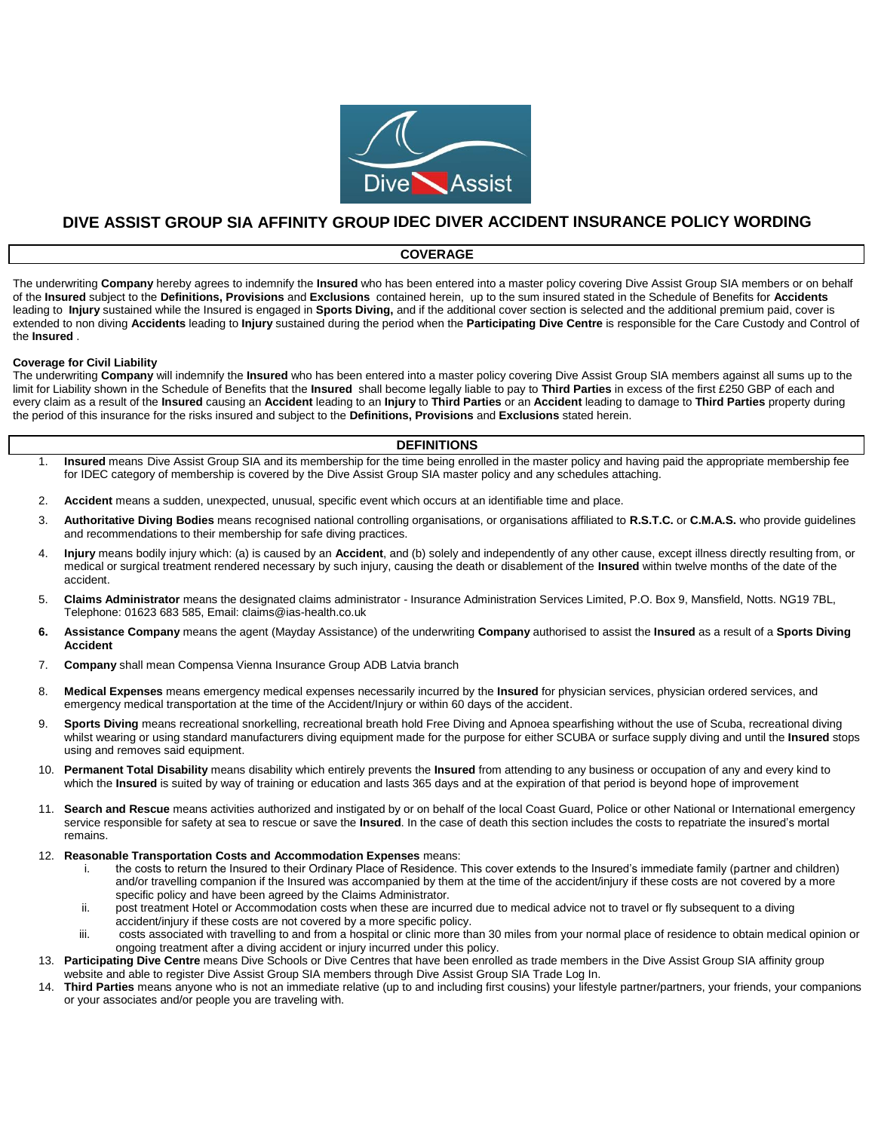

## **DIVE ASSIST GROUP SIA AFFINITY GROUP IDEC DIVER ACCIDENT INSURANCE POLICY WORDING**

### **COVERAGE**

The underwriting **Company** hereby agrees to indemnify the **Insured** who has been entered into a master policy covering Dive Assist Group SIA members or on behalf of the **Insured** subject to the **Definitions, Provisions** and **Exclusions** contained herein, up to the sum insured stated in the Schedule of Benefits for **Accidents**  leading to **Injury** sustained while the Insured is engaged in **Sports Diving,** and if the additional cover section is selected and the additional premium paid, cover is extended to non diving **Accidents** leading to **Injury** sustained during the period when the **Participating Dive Centre** is responsible for the Care Custody and Control of the **Insured** .

### **Coverage for Civil Liability**

The underwriting **Company** will indemnify the **Insured** who has been entered into a master policy covering Dive Assist Group SIA members against all sums up to the limit for Liability shown in the Schedule of Benefits that the **Insured** shall become legally liable to pay to **Third Parties** in excess of the first £250 GBP of each and every claim as a result of the **Insured** causing an **Accident** leading to an **Injury** to **Third Parties** or an **Accident** leading to damage to **Third Parties** property during the period of this insurance for the risks insured and subject to the **Definitions, Provisions** and **Exclusions** stated herein.

### **DEFINITIONS**

- 1. **Insured** means Dive Assist Group SIA and its membership for the time being enrolled in the master policy and having paid the appropriate membership fee for IDEC category of membership is covered by the Dive Assist Group SIA master policy and any schedules attaching.
- 2. **Accident** means a sudden, unexpected, unusual, specific event which occurs at an identifiable time and place.
- 3. **Authoritative Diving Bodies** means recognised national controlling organisations, or organisations affiliated to **R.S.T.C.** or **C.M.A.S.** who provide guidelines and recommendations to their membership for safe diving practices.
- 4. **Injury** means bodily injury which: (a) is caused by an **Accident**, and (b) solely and independently of any other cause, except illness directly resulting from, or medical or surgical treatment rendered necessary by such injury, causing the death or disablement of the **Insured** within twelve months of the date of the accident.
- 5. **Claims Administrator** means the designated claims administrator Insurance Administration Services Limited, P.O. Box 9, Mansfield, Notts. NG19 7BL, Telephone: 01623 683 585, Email: claims@ias-health.co.uk
- **6. Assistance Company** means the agent (Mayday Assistance) of the underwriting **Company** authorised to assist the **Insured** as a result of a **Sports Diving Accident**
- 7. **Company** shall mean Compensa Vienna Insurance Group ADB Latvia branch
- 8. **Medical Expenses** means emergency medical expenses necessarily incurred by the **Insured** for physician services, physician ordered services, and emergency medical transportation at the time of the Accident/Injury or within 60 days of the accident.
- 9. **Sports Diving** means recreational snorkelling, recreational breath hold Free Diving and Apnoea spearfishing without the use of Scuba, recreational diving whilst wearing or using standard manufacturers diving equipment made for the purpose for either SCUBA or surface supply diving and until the **Insured** stops using and removes said equipment.
- 10. **Permanent Total Disability** means disability which entirely prevents the **Insured** from attending to any business or occupation of any and every kind to which the **Insured** is suited by way of training or education and lasts 365 days and at the expiration of that period is beyond hope of improvement
- 11. **Search and Rescue** means activities authorized and instigated by or on behalf of the local Coast Guard, Police or other National or International emergency service responsible for safety at sea to rescue or save the **Insured**. In the case of death this section includes the costs to repatriate the insured's mortal remains.
- 12. **Reasonable Transportation Costs and Accommodation Expenses** means:
	- i. the costs to return the Insured to their Ordinary Place of Residence. This cover extends to the Insured's immediate family (partner and children) and/or travelling companion if the Insured was accompanied by them at the time of the accident/injury if these costs are not covered by a more specific policy and have been agreed by the Claims Administrator.
	- ii. post treatment Hotel or Accommodation costs when these are incurred due to medical advice not to travel or fly subsequent to a diving accident/injury if these costs are not covered by a more specific policy.
	- iii. costs associated with travelling to and from a hospital or clinic more than 30 miles from your normal place of residence to obtain medical opinion or ongoing treatment after a diving accident or injury incurred under this policy.
- 13. **Participating Dive Centre** means Dive Schools or Dive Centres that have been enrolled as trade members in the Dive Assist Group SIA affinity group website and able to register Dive Assist Group SIA members through Dive Assist Group SIA Trade Log In.
- 14. **Third Parties** means anyone who is not an immediate relative (up to and including first cousins) your lifestyle partner/partners, your friends, your companions or your associates and/or people you are traveling with.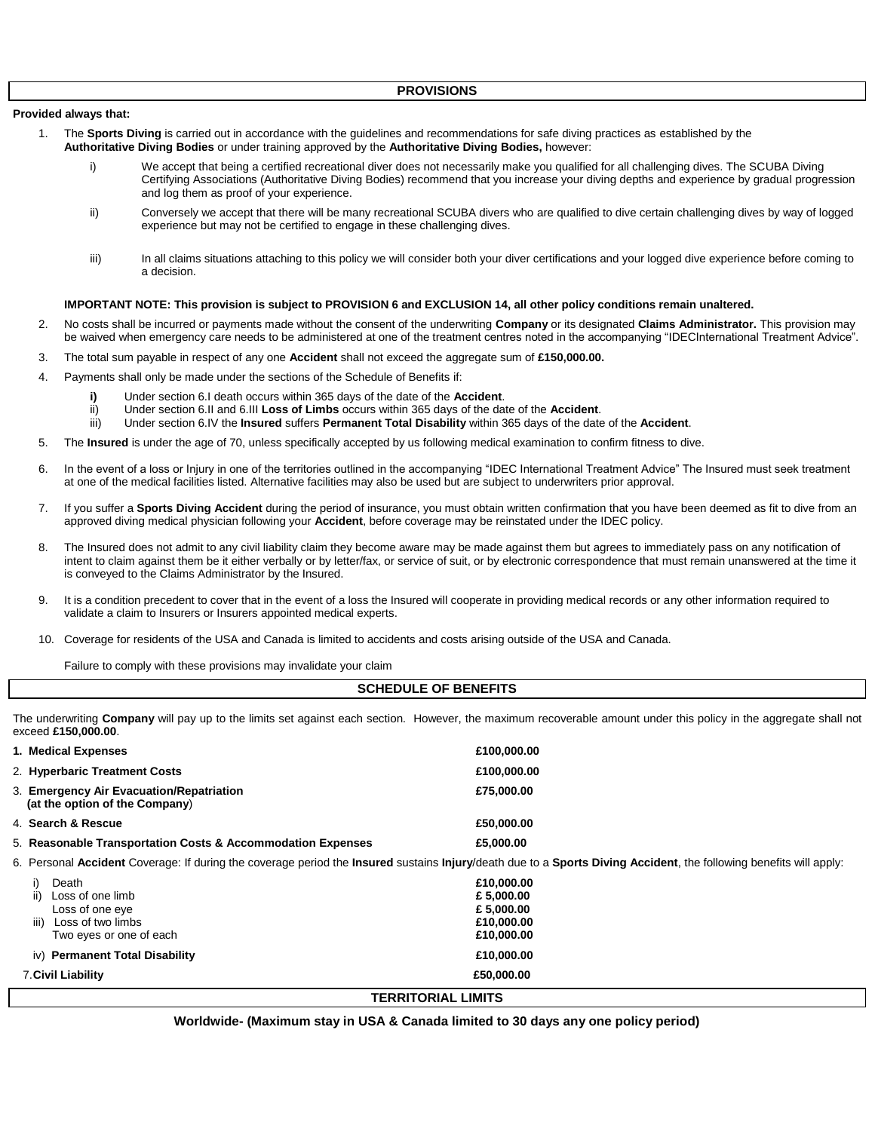**Provided always that:**

- 1. The **Sports Diving** is carried out in accordance with the guidelines and recommendations for safe diving practices as established by the **Authoritative Diving Bodies** or under training approved by the **Authoritative Diving Bodies,** however:
	- i) We accept that being a certified recreational diver does not necessarily make you qualified for all challenging dives. The SCUBA Diving Certifying Associations (Authoritative Diving Bodies) recommend that you increase your diving depths and experience by gradual progression and log them as proof of your experience.
	- ii) Conversely we accept that there will be many recreational SCUBA divers who are qualified to dive certain challenging dives by way of logged experience but may not be certified to engage in these challenging dives.
	- iii) In all claims situations attaching to this policy we will consider both your diver certifications and your logged dive experience before coming to a decision.

### **IMPORTANT NOTE: This provision is subject to PROVISION 6 and EXCLUSION 14, all other policy conditions remain unaltered.**

- 2. No costs shall be incurred or payments made without the consent of the underwriting **Company** or its designated **Claims Administrator.** This provision may be waived when emergency care needs to be administered at one of the treatment centres noted in the accompanying "IDECInternational Treatment Advice".
- 3. The total sum payable in respect of any one **Accident** shall not exceed the aggregate sum of **£150,000.00.**
- 4. Payments shall only be made under the sections of the Schedule of Benefits if:
	- **i)** Under section 6.I death occurs within 365 days of the date of the **Accident**.
	- ii) Under section 6.II and 6.III **Loss of Limbs** occurs within 365 days of the date of the **Accident**.
	- iii) Under section 6.IV the **Insured** suffers **Permanent Total Disability** within 365 days of the date of the **Accident**.
- 5. The **Insured** is under the age of 70, unless specifically accepted by us following medical examination to confirm fitness to dive.
- 6. In the event of a loss or Injury in one of the territories outlined in the accompanying "IDEC International Treatment Advice" The Insured must seek treatment at one of the medical facilities listed. Alternative facilities may also be used but are subject to underwriters prior approval.
- 7. If you suffer a **Sports Diving Accident** during the period of insurance, you must obtain written confirmation that you have been deemed as fit to dive from an approved diving medical physician following your **Accident**, before coverage may be reinstated under the IDEC policy.
- 8. The Insured does not admit to any civil liability claim they become aware may be made against them but agrees to immediately pass on any notification of intent to claim against them be it either verbally or by letter/fax, or service of suit, or by electronic correspondence that must remain unanswered at the time it is conveyed to the Claims Administrator by the Insured.
- 9. It is a condition precedent to cover that in the event of a loss the Insured will cooperate in providing medical records or any other information required to validate a claim to Insurers or Insurers appointed medical experts.
- 10. Coverage for residents of the USA and Canada is limited to accidents and costs arising outside of the USA and Canada.

Failure to comply with these provisions may invalidate your claim

### **SCHEDULE OF BENEFITS**

The underwriting **Company** will pay up to the limits set against each section. However, the maximum recoverable amount under this policy in the aggregate shall not exceed **£150,000.00**.

| 1. Medical Expenses                                                        | £100,000.00 |
|----------------------------------------------------------------------------|-------------|
| 2. Hyperbaric Treatment Costs                                              | £100,000.00 |
| 3. Emergency Air Evacuation/Repatriation<br>(at the option of the Company) | £75,000,00  |
| 4. Search & Rescue                                                         | £50,000.00  |
| 5. Reasonable Transportation Costs & Accommodation Expenses                | £5,000.00   |

6. Personal **Accident** Coverage: If during the coverage period the **Insured** sustains **Injury**/death due to a **Sports Diving Accident**, the following benefits will apply:

| Death                          | £10,000.00                |  |
|--------------------------------|---------------------------|--|
| ii)<br>Loss of one limb        | £ 5,000.00                |  |
| Loss of one eye                | £ 5,000.00                |  |
| iii)<br>Loss of two limbs      | £10,000,00                |  |
| Two eyes or one of each        | £10,000.00                |  |
| iv) Permanent Total Disability | £10,000.00                |  |
| 7. Civil Liability             | £50,000.00                |  |
|                                | <b>TERRITORIAL LIMITS</b> |  |

**Worldwide- (Maximum stay in USA & Canada limited to 30 days any one policy period)**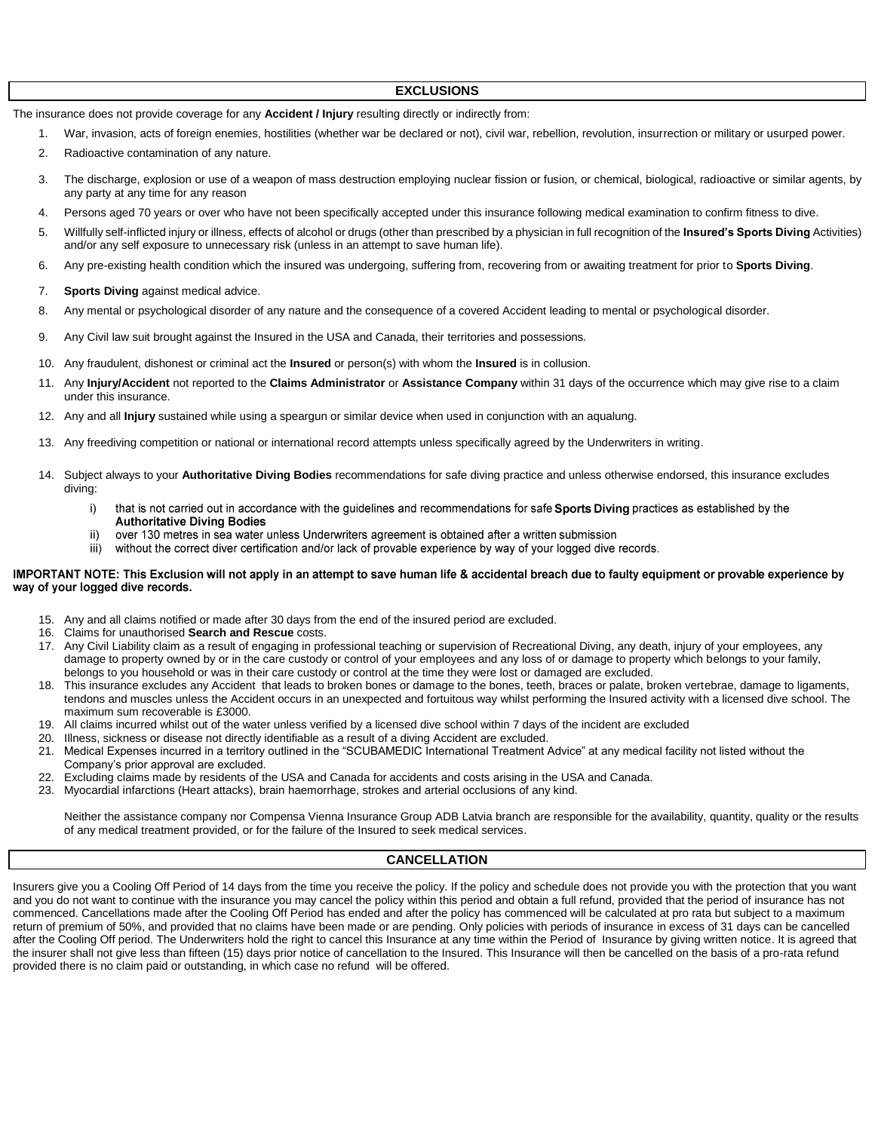### **EXCLUSIONS**

The insurance does not provide coverage for any **Accident / Injury** resulting directly or indirectly from:

- 1. War, invasion, acts of foreign enemies, hostilities (whether war be declared or not), civil war, rebellion, revolution, insurrection or military or usurped power.
- 2. Radioactive contamination of any nature.
- 3. The discharge, explosion or use of a weapon of mass destruction employing nuclear fission or fusion, or chemical, biological, radioactive or similar agents, by any party at any time for any reason
- 4. Persons aged 70 years or over who have not been specifically accepted under this insurance following medical examination to confirm fitness to dive.
- 5. Willfully self-inflicted injury or illness, effects of alcohol or drugs (other than prescribed by a physician in full recognition of the **Insured's Sports Diving** Activities) and/or any self exposure to unnecessary risk (unless in an attempt to save human life).
- 6. Any pre-existing health condition which the insured was undergoing, suffering from, recovering from or awaiting treatment for prior to **Sports Diving**.
- 7. **Sports Diving** against medical advice.
- 8. Any mental or psychological disorder of any nature and the consequence of a covered Accident leading to mental or psychological disorder.
- 9. Any Civil law suit brought against the Insured in the USA and Canada, their territories and possessions.
- 10. Any fraudulent, dishonest or criminal act the **Insured** or person(s) with whom the **Insured** is in collusion.
- 11. Any **Injury/Accident** not reported to the **Claims Administrator** or **Assistance Company** within 31 days of the occurrence which may give rise to a claim under this insurance.
- 12. Any and all **Injury** sustained while using a speargun or similar device when used in conjunction with an aqualung.
- 13. Any freediving competition or national or international record attempts unless specifically agreed by the Underwriters in writing.
- 14. Subject always to your **Authoritative Diving Bodies** recommendations for safe diving practice and unless otherwise endorsed, this insurance excludes diving:
	- i) that is not carried out in accordance with the guidelines and recommendations for safe Sports Diving practices as established by the **Authoritative Diving Bodies**
	- over 130 metres in sea water unless Underwriters agreement is obtained after a written submission ii)
	- iii) without the correct diver certification and/or lack of provable experience by way of your logged dive records.

### IMPORTANT NOTE: This Exclusion will not apply in an attempt to save human life & accidental breach due to faulty equipment or provable experience by way of your logged dive records.

- 15. Any and all claims notified or made after 30 days from the end of the insured period are excluded.
- 16. Claims for unauthorised **Search and Rescue** costs.
- 17. Any Civil Liability claim as a result of engaging in professional teaching or supervision of Recreational Diving, any death, injury of your employees, any damage to property owned by or in the care custody or control of your employees and any loss of or damage to property which belongs to your family, belongs to you household or was in their care custody or control at the time they were lost or damaged are excluded.
- 18. This insurance excludes any Accident that leads to broken bones or damage to the bones, teeth, braces or palate, broken vertebrae, damage to ligaments, tendons and muscles unless the Accident occurs in an unexpected and fortuitous way whilst performing the Insured activity with a licensed dive school. The maximum sum recoverable is £3000.
- 19. All claims incurred whilst out of the water unless verified by a licensed dive school within 7 days of the incident are excluded
- 20. Illness, sickness or disease not directly identifiable as a result of a diving Accident are excluded.
- 21. Medical Expenses incurred in a territory outlined in the "SCUBAMEDIC International Treatment Advice" at any medical facility not listed without the Company's prior approval are excluded.
- 22. Excluding claims made by residents of the USA and Canada for accidents and costs arising in the USA and Canada.
- 23. Myocardial infarctions (Heart attacks), brain haemorrhage, strokes and arterial occlusions of any kind.

Neither the assistance company nor Compensa Vienna Insurance Group ADB Latvia branch are responsible for the availability, quantity, quality or the results of any medical treatment provided, or for the failure of the Insured to seek medical services.

### **CANCELLATION**

Insurers give you a Cooling Off Period of 14 days from the time you receive the policy. If the policy and schedule does not provide you with the protection that you want and you do not want to continue with the insurance you may cancel the policy within this period and obtain a full refund, provided that the period of insurance has not commenced. Cancellations made after the Cooling Off Period has ended and after the policy has commenced will be calculated at pro rata but subject to a maximum return of premium of 50%, and provided that no claims have been made or are pending. Only policies with periods of insurance in excess of 31 days can be cancelled after the Cooling Off period. The Underwriters hold the right to cancel this Insurance at any time within the Period of Insurance by giving written notice. It is agreed that the insurer shall not give less than fifteen (15) days prior notice of cancellation to the Insured. This Insurance will then be cancelled on the basis of a pro-rata refund provided there is no claim paid or outstanding, in which case no refund will be offered.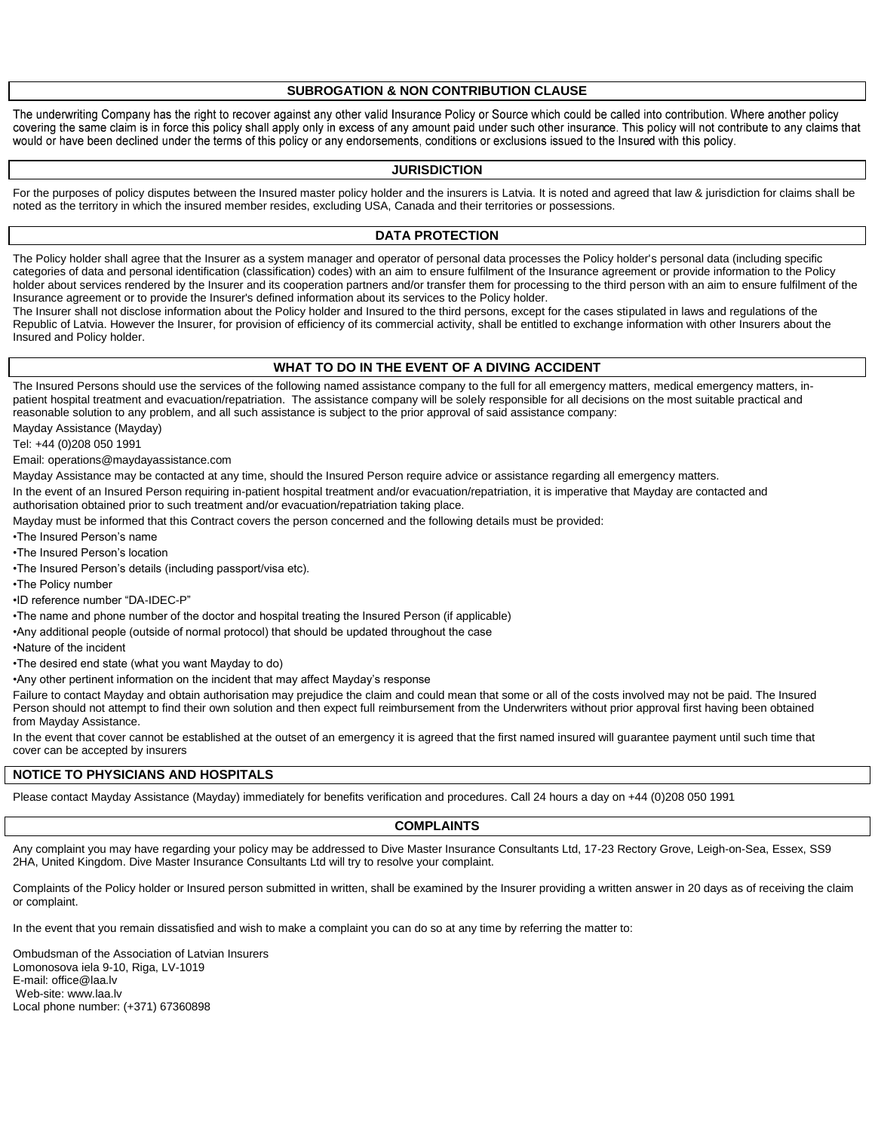### **SUBROGATION & NON CONTRIBUTION CLAUSE**

The underwriting Company has the right to recover against any other valid Insurance Policy or Source which could be called into contribution. Where another policy covering the same claim is in force this policy shall apply only in excess of any amount paid under such other insurance. This policy will not contribute to any claims that would or have been declined under the terms of this policy or any endorsements, conditions or exclusions issued to the Insured with this policy.

### **JURISDICTION**

For the purposes of policy disputes between the Insured master policy holder and the insurers is Latvia. It is noted and agreed that law & jurisdiction for claims shall be noted as the territory in which the insured member resides, excluding USA, Canada and their territories or possessions.

### **DATA PROTECTION**

The Policy holder shall agree that the Insurer as a system manager and operator of personal data processes the Policy holder's personal data (including specific categories of data and personal identification (classification) codes) with an aim to ensure fulfilment of the Insurance agreement or provide information to the Policy holder about services rendered by the Insurer and its cooperation partners and/or transfer them for processing to the third person with an aim to ensure fulfilment of the Insurance agreement or to provide the Insurer's defined information about its services to the Policy holder.

The Insurer shall not disclose information about the Policy holder and Insured to the third persons, except for the cases stipulated in laws and regulations of the Republic of Latvia. However the Insurer, for provision of efficiency of its commercial activity, shall be entitled to exchange information with other Insurers about the Insured and Policy holder.

### **WHAT TO DO IN THE EVENT OF A DIVING ACCIDENT**

The Insured Persons should use the services of the following named assistance company to the full for all emergency matters, medical emergency matters, inpatient hospital treatment and evacuation/repatriation. The assistance company will be solely responsible for all decisions on the most suitable practical and reasonable solution to any problem, and all such assistance is subject to the prior approval of said assistance company:

Mayday Assistance (Mayday)

Tel: +44 (0)208 050 1991

Email: operations@maydayassistance.com

Mayday Assistance may be contacted at any time, should the Insured Person require advice or assistance regarding all emergency matters.

In the event of an Insured Person requiring in-patient hospital treatment and/or evacuation/repatriation, it is imperative that Mayday are contacted and authorisation obtained prior to such treatment and/or evacuation/repatriation taking place.

Mayday must be informed that this Contract covers the person concerned and the following details must be provided:

•The Insured Person's name

•The Insured Person's location

•The Insured Person's details (including passport/visa etc).

•The Policy number

•ID reference number "DA-IDEC-P"

•The name and phone number of the doctor and hospital treating the Insured Person (if applicable)

•Any additional people (outside of normal protocol) that should be updated throughout the case

•Nature of the incident

•The desired end state (what you want Mayday to do)

•Any other pertinent information on the incident that may affect Mayday's response

Failure to contact Mayday and obtain authorisation may prejudice the claim and could mean that some or all of the costs involved may not be paid. The Insured Person should not attempt to find their own solution and then expect full reimbursement from the Underwriters without prior approval first having been obtained from Mayday Assistance.

In the event that cover cannot be established at the outset of an emergency it is agreed that the first named insured will guarantee payment until such time that cover can be accepted by insurers

### **NOTICE TO PHYSICIANS AND HOSPITALS**

Please contact Mayday Assistance (Mayday) immediately for benefits verification and procedures. Call 24 hours a day on +44 (0)208 050 1991

**COMPLAINTS**

Any complaint you may have regarding your policy may be addressed to Dive Master Insurance Consultants Ltd, 17-23 Rectory Grove, Leigh-on-Sea, Essex, SS9 2HA, United Kingdom. Dive Master Insurance Consultants Ltd will try to resolve your complaint.

Complaints of the Policy holder or Insured person submitted in written, shall be examined by the Insurer providing a written answer in 20 days as of receiving the claim or complaint.

In the event that you remain dissatisfied and wish to make a complaint you can do so at any time by referring the matter to:

Ombudsman of the Association of Latvian Insurers Lomonosova iela 9-10, Riga, LV-1019 E-mail: office@laa.lv Web-site: www.laa.lv Local phone number: (+371) 67360898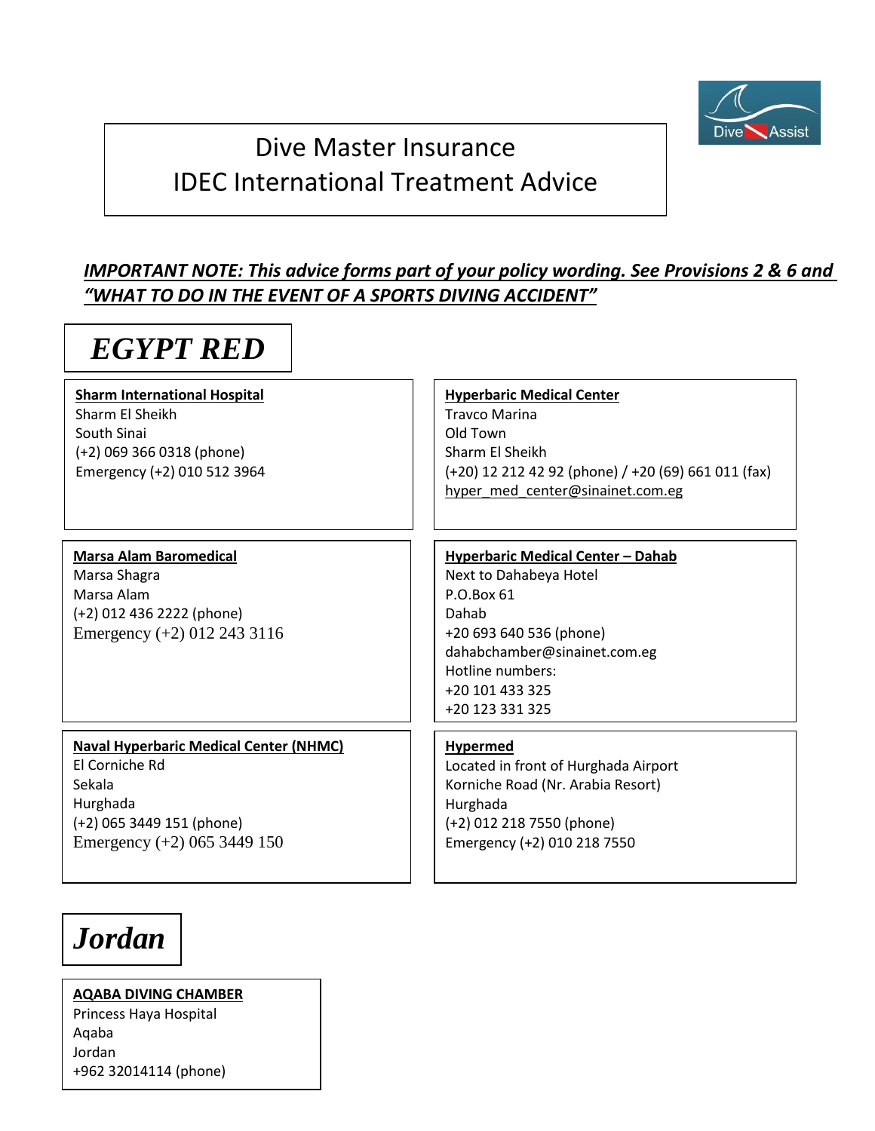

# Dive Master Insurance IDEC International Treatment Advice

# *IMPORTANT NOTE: This advice forms part of your policy wording. See Provisions 2 & 6 and "WHAT TO DO IN THE EVENT OF A SPORTS DIVING ACCIDENT"*

# *EGYPT RED*

# **Sharm International Hospital**

Sharm El Sheikh South Sinai (+2) 069 366 0318 (phone) Emergency (+2) 010 512 3964

### **[Hyperbaric Medical Center](http://http/www.sharmchamber.com/)** Travco Marina Old Town Sharm El Sheikh (+20) 12 212 42 92 (phone) / +20 (69) 661 011 (fax) [hyper\\_med\\_center@sinainet.com.eg](mailto:hyper_med_center@sinainet.com.eg)

## **Marsa Alam Baromedical** Marsa Shagra Marsa Alam (+2) 012 436 2222 (phone) Emergency (+2) 012 243 3116

**Hyperbaric Medical Center – Dahab** Next to Dahabeya Hotel P.O.Box 61 Dahab +20 693 640 536 (phone) dahabchamber@sinainet.com.eg Hotline numbers: +20 101 433 325 +20 123 331 325

**Naval Hyperbaric Medical Center (NHMC)** El Corniche Rd Sekala Hurghada (+2) 065 3449 151 (phone) Emergency (+2) 065 3449 150

## **Hypermed**

Located in front of Hurghada Airport Korniche Road (Nr. Arabia Resort) Hurghada (+2) 012 218 7550 (phone) Emergency (+2) 010 218 7550

# *Jordan*

**[AQABA DIVING CHAMBER](http://http/www.jrms.gov.jo/Default.aspx?tabid=154&language=en-US)** Princess Haya Hospital Aqaba Jordan +962 32014114 (phone)